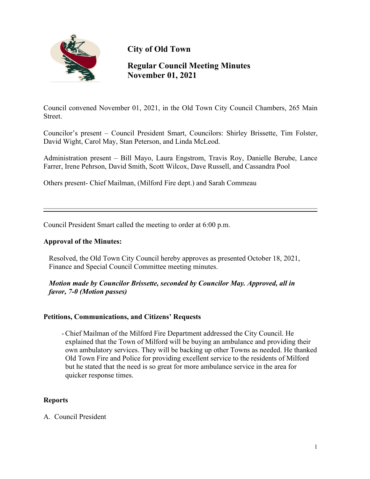

**City of Old Town**

# **Regular Council Meeting Minutes November 01, 2021**

Council convened November 01, 2021, in the Old Town City Council Chambers, 265 Main Street.

Councilor's present – Council President Smart, Councilors: Shirley Brissette, Tim Folster, David Wight, Carol May, Stan Peterson, and Linda McLeod.

Administration present – Bill Mayo, Laura Engstrom, Travis Roy, Danielle Berube, Lance Farrer, Irene Pehrson, David Smith, Scott Wilcox, Dave Russell, and Cassandra Pool

Others present- Chief Mailman, (Milford Fire dept.) and Sarah Commeau

Council President Smart called the meeting to order at 6:00 p.m.

### **Approval of the Minutes:**

Resolved, the Old Town City Council hereby approves as presented October 18, 2021, Finance and Special Council Committee meeting minutes.

# *Motion made by Councilor Brissette, seconded by Councilor May. Approved, all in favor, 7-0 (Motion passes)*

# **Petitions, Communications, and Citizens' Requests**

- Chief Mailman of the Milford Fire Department addressed the City Council. He explained that the Town of Milford will be buying an ambulance and providing their own ambulatory services. They will be backing up other Towns as needed. He thanked Old Town Fire and Police for providing excellent service to the residents of Milford but he stated that the need is so great for more ambulance service in the area for quicker response times.

#### **Reports**

A. Council President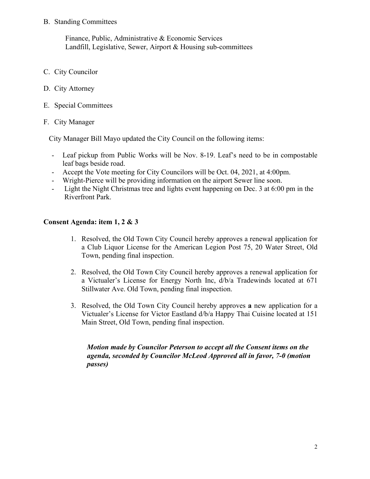#### B. Standing Committees

 Finance, Public, Administrative & Economic Services Landfill, Legislative, Sewer, Airport & Housing sub-committees

- C. City Councilor
- D. City Attorney
- E. Special Committees
- F. City Manager

City Manager Bill Mayo updated the City Council on the following items:

- Leaf pickup from Public Works will be Nov. 8-19. Leaf's need to be in compostable leaf bags beside road.
- Accept the Vote meeting for City Councilors will be Oct. 04, 2021, at 4:00pm.
- Wright-Pierce will be providing information on the airport Sewer line soon.
- Light the Night Christmas tree and lights event happening on Dec. 3 at 6:00 pm in the Riverfront Park.

# **Consent Agenda: item 1, 2 & 3**

- 1. Resolved, the Old Town City Council hereby approves a renewal application for a Club Liquor License for the American Legion Post 75, 20 Water Street, Old Town, pending final inspection.
- 2. Resolved, the Old Town City Council hereby approves a renewal application for a Victualer's License for Energy North Inc, d/b/a Tradewinds located at 671 Stillwater Ave. Old Town, pending final inspection.
- 3. Resolved, the Old Town City Council hereby approves **a** new application for a Victualer's License for Victor Eastland d/b/a Happy Thai Cuisine located at 151 Main Street, Old Town, pending final inspection.

# *Motion made by Councilor Peterson to accept all the Consent items on the agenda, seconded by Councilor McLeod Approved all in favor, 7-0 (motion passes)*